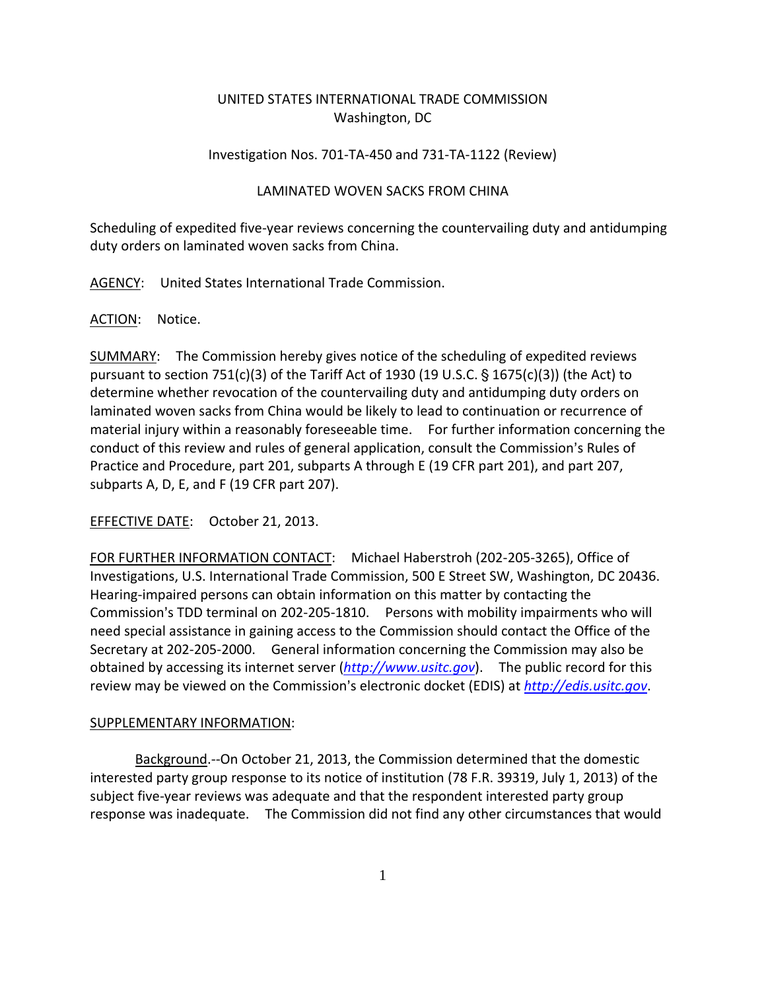# UNITED STATES INTERNATIONAL TRADE COMMISSION Washington, DC

# Investigation Nos. 701‐TA‐450 and 731‐TA‐1122 (Review)

# LAMINATED WOVEN SACKS FROM CHINA

Scheduling of expedited five‐year reviews concerning the countervailing duty and antidumping duty orders on laminated woven sacks from China.

AGENCY: United States International Trade Commission.

### ACTION: Notice.

SUMMARY: The Commission hereby gives notice of the scheduling of expedited reviews pursuant to section 751(c)(3) of the Tariff Act of 1930 (19 U.S.C.  $\S$  1675(c)(3)) (the Act) to determine whether revocation of the countervailing duty and antidumping duty orders on laminated woven sacks from China would be likely to lead to continuation or recurrence of material injury within a reasonably foreseeable time. For further information concerning the conduct of this review and rules of general application, consult the Commission's Rules of Practice and Procedure, part 201, subparts A through E (19 CFR part 201), and part 207, subparts A, D, E, and F (19 CFR part 207).

EFFECTIVE DATE: October 21, 2013.

FOR FURTHER INFORMATION CONTACT: Michael Haberstroh (202‐205‐3265), Office of Investigations, U.S. International Trade Commission, 500 E Street SW, Washington, DC 20436. Hearing‐impaired persons can obtain information on this matter by contacting the Commission's TDD terminal on 202-205-1810. Persons with mobility impairments who will need special assistance in gaining access to the Commission should contact the Office of the Secretary at 202‐205‐2000. General information concerning the Commission may also be obtained by accessing its internet server (*http://www.usitc.gov*). The public record for this review may be viewed on the Commission's electronic docket (EDIS) at *http://edis.usitc.gov*.

### SUPPLEMENTARY INFORMATION:

Background.‐‐On October 21, 2013, the Commission determined that the domestic interested party group response to its notice of institution (78 F.R. 39319, July 1, 2013) of the subject five-year reviews was adequate and that the respondent interested party group response was inadequate. The Commission did not find any other circumstances that would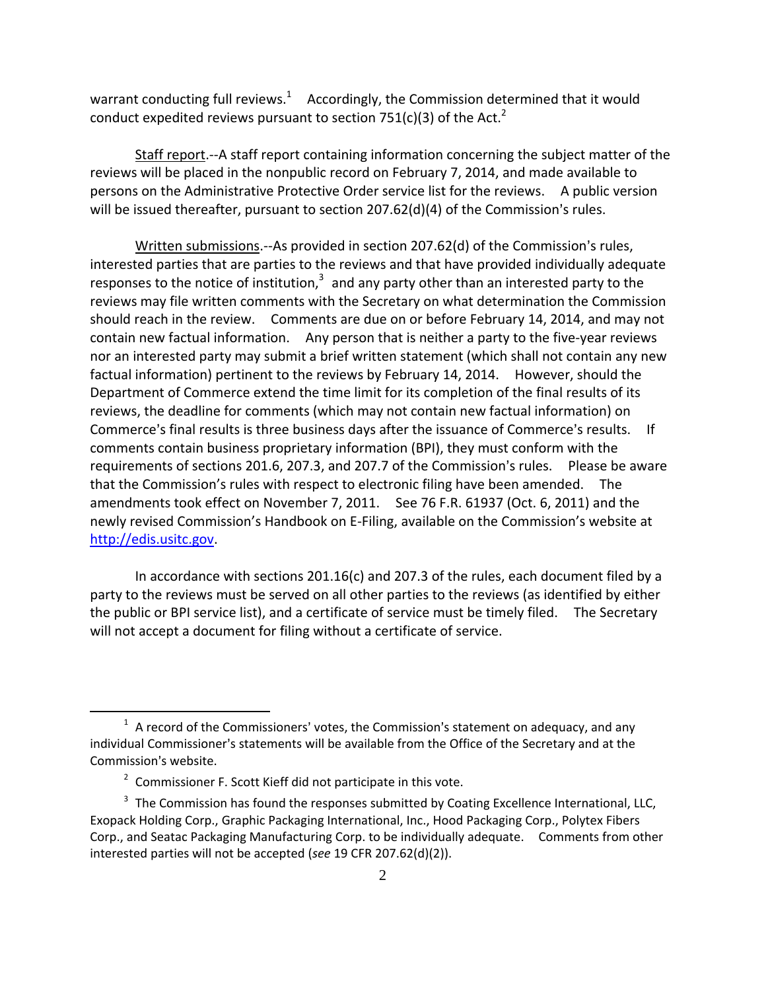warrant conducting full reviews.<sup>1</sup> Accordingly, the Commission determined that it would conduct expedited reviews pursuant to section 751(c)(3) of the Act.<sup>2</sup>

Staff report.‐‐A staff report containing information concerning the subject matter of the reviews will be placed in the nonpublic record on February 7, 2014, and made available to persons on the Administrative Protective Order service list for the reviews. A public version will be issued thereafter, pursuant to section  $207.62(d)(4)$  of the Commission's rules.

Written submissions.--As provided in section 207.62(d) of the Commission's rules, interested parties that are parties to the reviews and that have provided individually adequate responses to the notice of institution, $3$  and any party other than an interested party to the reviews may file written comments with the Secretary on what determination the Commission should reach in the review. Comments are due on or before February 14, 2014, and may not contain new factual information. Any person that is neither a party to the five-year reviews nor an interested party may submit a brief written statement (which shall not contain any new factual information) pertinent to the reviews by February 14, 2014. However, should the Department of Commerce extend the time limit for its completion of the final results of its reviews, the deadline for comments (which may not contain new factual information) on Commerce's final results is three business days after the issuance of Commerce's results. If comments contain business proprietary information (BPI), they must conform with the requirements of sections 201.6, 207.3, and 207.7 of the Commission's rules. Please be aware that the Commission's rules with respect to electronic filing have been amended. The amendments took effect on November 7, 2011. See 76 F.R. 61937 (Oct. 6, 2011) and the newly revised Commission's Handbook on E‐Filing, available on the Commission's website at http://edis.usitc.gov.

In accordance with sections 201.16(c) and 207.3 of the rules, each document filed by a party to the reviews must be served on all other parties to the reviews (as identified by either the public or BPI service list), and a certificate of service must be timely filed. The Secretary will not accept a document for filing without a certificate of service.

 $\overline{a}$ 

 $1$  A record of the Commissioners' votes, the Commission's statement on adequacy, and any individual Commissioner's statements will be available from the Office of the Secretary and at the Commission's website.

<sup>&</sup>lt;sup>2</sup> Commissioner F. Scott Kieff did not participate in this vote.

 $3$  The Commission has found the responses submitted by Coating Excellence International, LLC, Exopack Holding Corp., Graphic Packaging International, Inc., Hood Packaging Corp., Polytex Fibers Corp., and Seatac Packaging Manufacturing Corp. to be individually adequate. Comments from other interested parties will not be accepted (*see* 19 CFR 207.62(d)(2)).